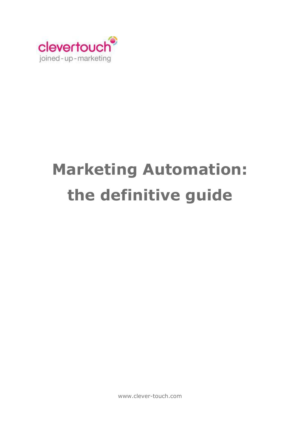

# **Marketing Automation: the definitive guide**

www.clever-touch.com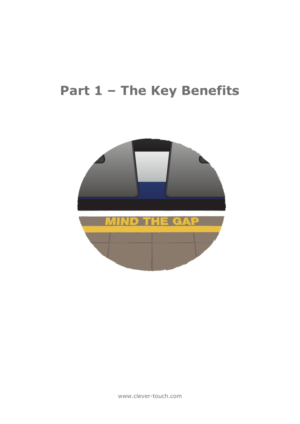## **Part 1 – The Key Benefits**

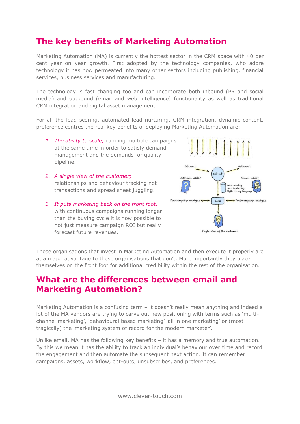## **The key benefits of Marketing Automation**

Marketing Automation (MA) is currently the hottest sector in the CRM space with 40 per cent year on year growth. First adopted by the technology companies, who adore technology it has now permeated into many other sectors including publishing, financial services, business services and manufacturing.

The technology is fast changing too and can incorporate both inbound (PR and social media) and outbound (email and web intelligence) functionality as well as traditional CRM integration and digital asset management.

For all the lead scoring, automated lead nurturing, CRM integration, dynamic content, preference centres the real key benefits of deploying Marketing Automation are:

- *1. The ability to scale;* running multiple campaigns at the same time in order to satisfy demand management and the demands for quality pipeline.
- *2. A single view of the customer;*  relationships and behaviour tracking not transactions and spread sheet juggling.
- *3. It puts marketing back on the front foot;* with continuous campaigns running longer than the buying cycle it is now possible to not just measure campaign ROI but really forecast future revenues.



Those organisations that invest in Marketing Automation and then execute it properly are at a major advantage to those organisations that don't. More importantly they place themselves on the front foot for additional credibility within the rest of the organisation.

## **What are the differences between email and Marketing Automation?**

Marketing Automation is a confusing term – it doesn't really mean anything and indeed a lot of the MA vendors are trying to carve out new positioning with terms such as 'multichannel marketing', 'behavioural based marketing' 'all in one marketing' or (most tragically) the 'marketing system of record for the modern marketer'.

Unlike email, MA has the following key benefits – it has a memory and true automation. By this we mean it has the ability to track an individual's behaviour over time and record the engagement and then automate the subsequent next action. It can remember campaigns, assets, workflow, opt-outs, unsubscribes, and preferences.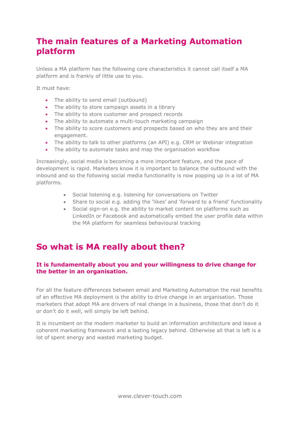## **The main features of a Marketing Automation platform**

Unless a MA platform has the following core characteristics it cannot call itself a MA platform and is frankly of little use to you.

It must have:

- The ability to send email (outbound)
- The ability to store campaign assets in a library
- The ability to store customer and prospect records
- The ability to automate a multi-touch marketing campaign
- The ability to score customers and prospects based on who they are and their engagement.
- The ability to talk to other platforms (an API) e.g. CRM or Webinar integration
- The ability to automate tasks and map the organisation workflow

Increasingly, social media is becoming a more important feature, and the pace of development is rapid. Marketers know it is important to balance the outbound with the inbound and so the following social media functionality is now popping up in a lot of MA platforms.

- Social listening e.g. listening for conversations on Twitter
- Share to social e.g. adding the 'likes' and 'forward to a friend' functionality
- Social sign-on e.g. the ability to market content on platforms such as LinkedIn or Facebook and automatically embed the user profile data within the MA platform for seamless behavioural tracking

## **So what is MA really about then?**

#### **It is fundamentally about you and your willingness to drive change for the better in an organisation.**

For all the feature differences between email and Marketing Automation the real benefits of an effective MA deployment is the ability to drive change in an organisation. Those marketers that adopt MA are drivers of real change in a business, those that don't do it or don't do it well, will simply be left behind.

It is incumbent on the modern marketer to build an information architecture and leave a coherent marketing framework and a lasting legacy behind. Otherwise all that is left is a lot of spent energy and wasted marketing budget.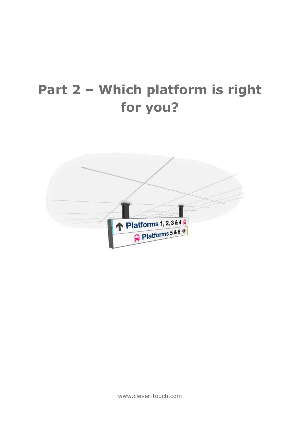## **Part 2 – Which platform is right for you?**

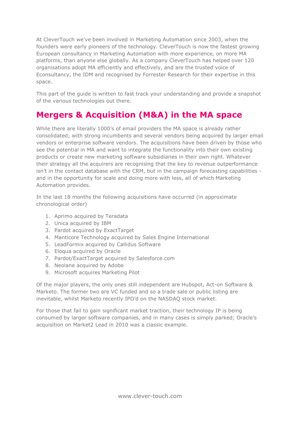At CleverTouch we've been involved in Marketing Automation since 2003, when the founders were early pioneers of the technology. CleverTouch is now the fastest growing European consultancy in Marketing Automation with more experience, on more MA platforms, than anyone else globally. As a company CleverTouch has helped over 120 organisations adopt MA efficiently and effectively, and are the trusted voice of Econsultancy, the IDM and recognised by Forrester Research for their expertise in this space.

This part of the guide is written to fast track your understanding and provide a snapshot of the various technologies out there.

## **Mergers & Acquisition (M&A) in the MA space**

While there are literally 1000's of email providers the MA space is already rather consolidated; with strong incumbents and several vendors being acquired by larger email vendors or enterprise software vendors. The acquisitions have been driven by those who see the potential in MA and want to integrate the functionality into their own existing products or create new marketing software subsidiaries in their own right. Whatever their strategy all the acquirers are recognising that the key to revenue outperformance isn't in the contact database with the CRM, but in the campaign forecasting capabilities and in the opportunity for scale and doing more with less, all of which Marketing Automation provides.

In the last 18 months the following acquisitions have occurred (in approximate chronological order)

- 1. Aprimo acquired by Teradata
- 2. Unica acquired by IBM
- 3. Pardot acquired by ExactTarget
- 4. Manticore Technology acquired by Sales Engine International
- 5. LeadFormix acquired by Callidus Software
- 6. Eloqua acquired by Oracle
- 7. Pardot/ExactTarget acquired by Salesforce.com
- 8. Neolane acquired by Adobe
- 9. Microsoft acquires Marketing Pilot

Of the major players, the only ones still independent are Hubspot, Act-on Software & Marketo. The former two are VC funded and so a trade sale or public listing are inevitable, whilst Marketo recently IPO'd on the NASDAQ stock market.

For those that fail to gain significant market traction, their technology IP is being consumed by larger software companies, and in many cases is simply parked; Oracle's acquisition on Market2 Lead in 2010 was a classic example.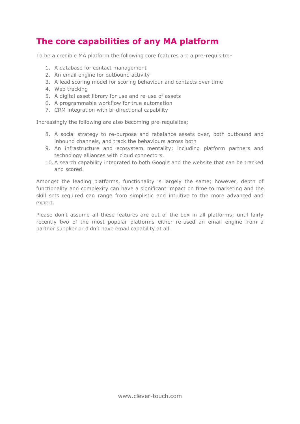## **The core capabilities of any MA platform**

To be a credible MA platform the following core features are a pre-requisite:-

- 1. A database for contact management
- 2. An email engine for outbound activity
- 3. A lead scoring model for scoring behaviour and contacts over time
- 4. Web tracking
- 5. A digital asset library for use and re-use of assets
- 6. A programmable workflow for true automation
- 7. CRM integration with bi-directional capability

Increasingly the following are also becoming pre-requisites;

- 8. A social strategy to re-purpose and rebalance assets over, both outbound and inbound channels, and track the behaviours across both
- 9. An infrastructure and ecosystem mentality; including platform partners and technology alliances with cloud connectors.
- 10.A search capability integrated to both Google and the website that can be tracked and scored.

Amongst the leading platforms, functionality is largely the same; however, depth of functionality and complexity can have a significant impact on time to marketing and the skill sets required can range from simplistic and intuitive to the more advanced and expert.

Please don't assume all these features are out of the box in all platforms; until fairly recently two of the most popular platforms either re-used an email engine from a partner supplier or didn't have email capability at all.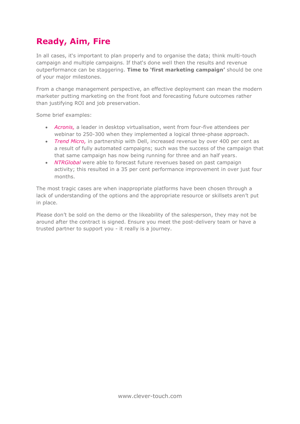## **Ready, Aim, Fire**

In all cases, it's important to plan properly and to organise the data; think multi-touch campaign and multiple campaigns. If that's done well then the results and revenue outperformance can be staggering. **Time to 'first marketing campaign'** should be one of your major milestones.

From a change management perspective, an effective deployment can mean the modern marketer putting marketing on the front foot and forecasting future outcomes rather than justifying ROI and job preservation.

Some brief examples:

- *Acronis,* a leader in desktop virtualisation, went from four-five attendees per webinar to 250-300 when they implemented a logical three-phase approach.
- *Trend Micro,* in partnership with Dell, increased revenue by over 400 per cent as a result of fully automated campaigns; such was the success of the campaign that that same campaign has now being running for three and an half years.
- *NTRGlobal* were able to forecast future revenues based on past campaign activity; this resulted in a 35 per cent performance improvement in over just four months.

The most tragic cases are when inappropriate platforms have been chosen through a lack of understanding of the options and the appropriate resource or skillsets aren't put in place.

Please don't be sold on the demo or the likeability of the salesperson, they may not be around after the contract is signed. Ensure you meet the post-delivery team or have a trusted partner to support you - it really is a journey.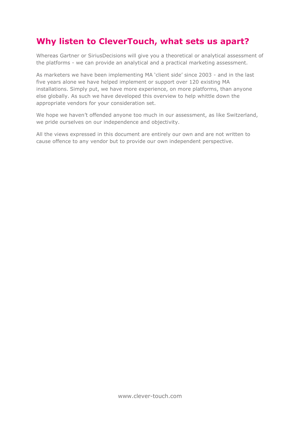## **Why listen to CleverTouch, what sets us apart?**

Whereas Gartner or SiriusDecisions will give you a theoretical or analytical assessment of the platforms - we can provide an analytical and a practical marketing assessment.

As marketers we have been implementing MA 'client side' since 2003 - and in the last five years alone we have helped implement or support over 120 existing MA installations. Simply put, we have more experience, on more platforms, than anyone else globally. As such we have developed this overview to help whittle down the appropriate vendors for your consideration set.

We hope we haven't offended anyone too much in our assessment, as like Switzerland, we pride ourselves on our independence and objectivity.

All the views expressed in this document are entirely our own and are not written to cause offence to any vendor but to provide our own independent perspective.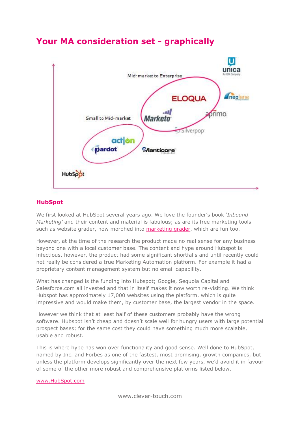### **Your MA consideration set - graphically**



#### **HubSpot**

We first looked at HubSpot several years ago. We love the founder's book *'Inbound Marketing'* and their content and material is fabulous; as are its free marketing tools such as website grader, now morphed into [marketing grader,](http://marketing.grader.com/) which are fun too.

However, at the time of the research the product made no real sense for any business beyond one with a local customer base. The content and hype around Hubspot is infectious, however, the product had some significant shortfalls and until recently could not really be considered a true Marketing Automation platform. For example it had a proprietary content management system but no email capability.

What has changed is the funding into Hubspot; Google, Sequoia Capital and Salesforce.com all invested and that in itself makes it now worth re-visiting. We think Hubspot has approximately 17,000 websites using the platform, which is quite impressive and would make them, by customer base, the largest vendor in the space.

However we think that at least half of these customers probably have the wrong software. Hubspot isn't cheap and doesn't scale well for hungry users with large potential prospect bases; for the same cost they could have something much more scalable, usable and robust.

This is where hype has won over functionality and good sense. Well done to HubSpot, named by Inc. and Forbes as one of the fastest, most promising, growth companies, but unless the platform develops significantly over the next few years, we'd avoid it in favour of some of the other more robust and comprehensive platforms listed below.

#### [www.HubSpot.com](http://www.hubspot.com/)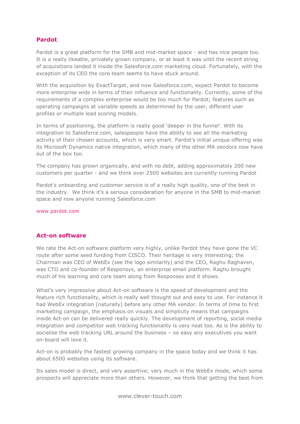#### **Pardot**

Pardot is a great platform for the SMB and mid-market space - and has nice people too. It is a really likeable, privately grown company, or at least it was until the recent string of acquisitions landed it inside the Salesforce.com marketing cloud. Fortunately, with the exception of its CEO the core team seems to have stuck around.

With the acquisition by ExactTarget, and now Salesforce.com, expect Pardot to become more enterprise wide in terms of their influence and functionality. Currently, some of the requirements of a complex enterprise would be too much for Pardot; features such as operating campaigns at variable speeds as determined by the user, different user profiles or multiple lead scoring models.

In terms of positioning, the platform is really good 'deeper in the funnel'. With its integration to Salesforce.com, salespeople have the ability to see all the marketing activity of their chosen accounts, which is very smart. Pardot's initial unique offering was its Microsoft Dynamics native integration, which many of the other MA vendors now have out of the box too.

The company has grown organically, and with no debt, adding approximately 200 new customers per quarter - and we think over 2500 websites are currently running Pardot

Pardot's onboarding and customer service is of a really high quality, one of the best in the industry. We think it's a serious consideration for anyone in the SMB to mid-market space and now anyone running Salesforce.com

[www.pardot.com](http://www.pardot.com/)

#### **Act-on software**

We rate the Act-on software platform very highly, unlike Pardot they have gone the VC route after some seed funding from CISCO. Their heritage is very interesting; the Chairman was CEO of WebEx (see the logo similarity) and the CEO, Raghu Raghaven, was CTO and co-founder of Responsys, an enterprise email platform. Raghu brought much of his learning and core team along from Responses and it shows.

What's very impressive about Act-on software is the speed of development and the feature rich functionality, which is really well thought out and easy to use. For instance it had WebEx integration (naturally) before any other MA vendor. In terms of time to first marketing campaign, the emphasis on visuals and simplicity means that campaigns inside Act-on can be delivered really quickly. The development of reporting, social media integration and competitor web tracking functionality is very neat too. As is the ability to socialise the web tracking URL around the business – so easy any executives you want on-board will love it.

Act-on is probably the fastest growing company in the space today and we think it has about 6500 websites using its software.

Its sales model is direct, and very assertive; very much in the WebEx mode, which some prospects will appreciate more than others. However, we think that getting the best from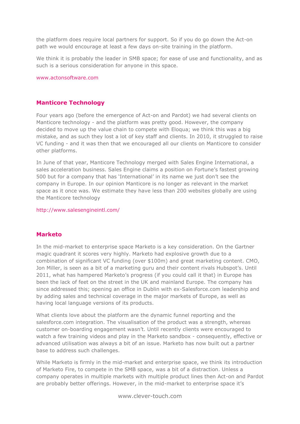the platform does require local partners for support. So if you do go down the Act-on path we would encourage at least a few days on-site training in the platform.

We think it is probably the leader in SMB space; for ease of use and functionality, and as such is a serious consideration for anyone in this space.

[www.actonsoftware.com](http://www.actonsoftware.com/)

#### **Manticore Technology**

Four years ago (before the emergence of Act-on and Pardot) we had several clients on Manticore technology - and the platform was pretty good. However, the company decided to move up the value chain to compete with Eloqua; we think this was a big mistake, and as such they lost a lot of key staff and clients. In 2010, it struggled to raise VC funding - and it was then that we encouraged all our clients on Manticore to consider other platforms.

In June of that year, Manticore Technology merged with Sales Engine International, a sales acceleration business. Sales Engine claims a position on Fortune's fastest growing 500 but for a company that has 'International' in its name we just don't see the company in Europe. In our opinion Manticore is no longer as relevant in the market space as it once was. We estimate they have less than 200 websites globally are using the Manticore technology

<http://www.salesengineintl.com/>

#### **Marketo**

In the mid-market to enterprise space Marketo is a key consideration. On the Gartner magic quadrant it scores very highly. Marketo had explosive growth due to a combination of significant VC funding (over \$100m) and great marketing content. CMO, Jon Miller, is seen as a bit of a marketing guru and their content rivals Hubspot's. Until 2011, what has hampered Marketo's progress (if you could call it that) in Europe has been the lack of feet on the street in the UK and mainland Europe. The company has since addressed this; opening an office in Dublin with ex-Salesforce.com leadership and by adding sales and technical coverage in the major markets of Europe, as well as having local language versions of its products.

What clients love about the platform are the dynamic funnel reporting and the salesforce.com integration. The visualisation of the product was a strength, whereas customer on-boarding engagement wasn't. Until recently clients were encouraged to watch a few training videos and play in the Marketo sandbox - consequently, effective or advanced utilisation was always a bit of an issue. Marketo has now built out a partner base to address such challenges.

While Marketo is firmly in the mid-market and enterprise space, we think its introduction of Marketo Fire, to compete in the SMB space, was a bit of a distraction. Unless a company operates in multiple markets with multiple product lines then Act-on and Pardot are probably better offerings. However, in the mid-market to enterprise space it's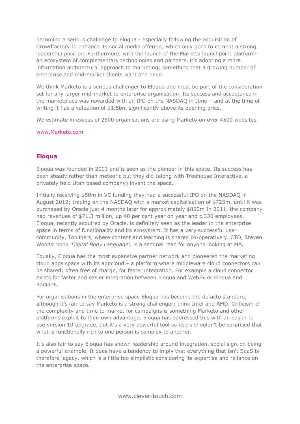becoming a serious challenge to Eloqua - especially following the acquisition of Crowdfactory to enhance its social media offering; which only goes to cement a strong leadership position. Furthermore, with the launch of the Marketo launchpoint platforman ecosystem of complementary technologies and partners, it's adopting a more information architectural approach to marketing; something that a growing number of enterprise and mid-market clients want and need.

We think Marketo is a serious challenger to Eloqua and must be part of the consideration set for any larger mid-market to enterprise organisation. Its success and acceptance in the marketplace was rewarded with an IPO on the NASDAQ in June – and at the time of writing it has a valuation of \$1.5bn, significantly above its opening price.

We estimate in excess of 2500 organisations are using Marketo on over 4500 websites.

[www.Marketo.com](http://www.marketo.com/)

#### **Eloqua**

Eloqua was founded in 2003 and is seen as the pioneer in this space. Its success has been steady rather than meteoric but they did (along with Treehouse Interactive, a privately held Utah based company) invent the space.

Initially receiving \$50m in VC funding they had a successful IPO on the NASDAQ in August 2012; trading on the NASDAQ with a market capitalisation of \$725m, until it was purchased by Oracle just 4 months later for approximately \$850m In 2011, the company had revenues of \$71.3 million, up 40 per cent year on year and c.330 employees. Eloqua, recently acquired by Oracle, is definitely seen as the leader in the enterprise space in terms of functionality and its ecosystem. It has a very successful user community, Topliners, where content and learning is shared co-operatively. CTO, Steven Woods' book *'Digital Body Language',* is a seminal read for anyone looking at MA.

Equally, Eloqua has the most expansive partner network and pioneered the marketing cloud apps space with its appcloud  $-$  a platform where middleware cloud connectors can be shared; often free of charge, for faster integration. For example a cloud connector exists for faster and easier integration between Eloqua and WebEx or Eloqua and Radian6.

For organisations in the enterprise space Eloqua has become the defacto standard, although it's fair to say Marketo is a strong challenger; think Intel and AMD. Criticism of the complexity and time to market for campaigns is something Marketo and other platforms exploit to their own advantage. Eloqua has addressed this with an easier to use version 10 upgrade, but it's a very powerful tool so users shouldn't be surprised that what is functionally rich to one person is complex to another.

It's also fair to say Eloqua has shown leadership around integration, social sign-on being a powerful example. It does have a tendency to imply that everything that isn't SaaS is therefore legacy, which is a little too simplistic considering its expertise and reliance on the enterprise space.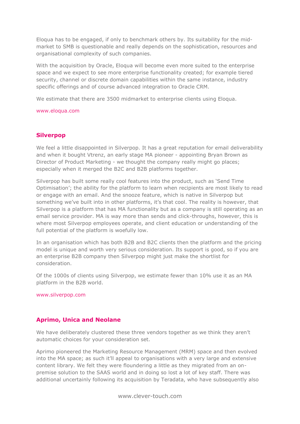Eloqua has to be engaged, if only to benchmark others by. Its suitability for the midmarket to SMB is questionable and really depends on the sophistication, resources and organisational complexity of such companies.

With the acquisition by Oracle, Eloqua will become even more suited to the enterprise space and we expect to see more enterprise functionality created; for example tiered security, channel or discrete domain capabilities within the same instance, industry specific offerings and of course advanced integration to Oracle CRM.

We estimate that there are 3500 midmarket to enterprise clients using Eloqua.

[www.eloqua.com](http://www.eloqua.com/)

#### **Silverpop**

We feel a little disappointed in Silverpop. It has a great reputation for email deliverability and when it bought Vtrenz, an early stage MA pioneer - appointing Bryan Brown as Director of Product Marketing - we thought the company really might go places; especially when it merged the B2C and B2B platforms together.

Silverpop has built some really cool features into the product, such as 'Send Time Optimisation'; the ability for the platform to learn when recipients are most likely to read or engage with an email. And the snooze feature, which is native in Silverpop but something we've built into in other platforms, it's that cool. The reality is however, that Silverpop is a platform that has MA functionality but as a company is still operating as an email service provider. MA is way more than sends and click-throughs, however, this is where most Silverpop employees operate, and client education or understanding of the full potential of the platform is woefully low.

In an organisation which has both B2B and B2C clients then the platform and the pricing model is unique and worth very serious consideration. Its support is good, so if you are an enterprise B2B company then Silverpop might just make the shortlist for consideration.

Of the 1000s of clients using Silverpop, we estimate fewer than 10% use it as an MA platform in the B2B world.

#### [www.silverpop.com](http://www.silverpop.com/)

#### **Aprimo, Unica and Neolane**

We have deliberately clustered these three vendors together as we think they aren't automatic choices for your consideration set.

Aprimo pioneered the Marketing Resource Management (MRM) space and then evolved into the MA space; as such it'll appeal to organisations with a very large and extensive content library. We felt they were floundering a little as they migrated from an onpremise solution to the SAAS world and in doing so lost a lot of key staff. There was additional uncertainly following its acquisition by Teradata, who have subsequently also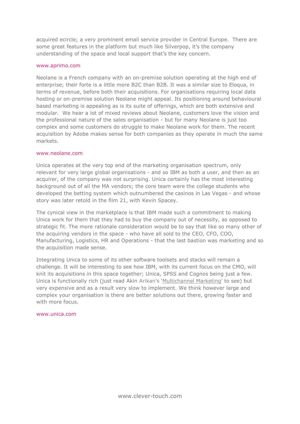acquired ecircle; a very prominent email service provider in Central Europe. There are some great features in the platform but much like Silverpop, it's the company understanding of the space and local support that's the key concern.

#### [www.aprimo.com](http://www.aprimo.com/)

Neolane is a French company with an on-premise solution operating at the high end of enterprise; their forte is a little more B2C than B2B. It was a similar size to Eloqua, in terms of revenue, before both their acquisitions. For organisations requiring local data hosting or on-premise solution Neolane might appeal. Its positioning around behavioural based marketing is appealing as is its suite of offerings, which are both extensive and modular. We hear a lot of mixed reviews about Neolane, customers love the vision and the professional nature of the sales organisation - but for many Neolane is just too complex and some customers do struggle to make Neolane work for them. The recent acquisition by Adobe makes sense for both companies as they operate in much the same markets.

#### [www.neolane.com](http://www.neolane.com/)

Unica operates at the very top end of the marketing organisation spectrum, only relevant for very large global organisations - and so IBM as both a user, and then as an acquirer, of the company was not surprising. Unica certainly has the most interesting background out of all the MA vendors; the core team were the college students who developed the betting system which outnumbered the casinos in Las Vegas - and whose story was later retold in the film 21, with Kevin Spacey.

The cynical view in the marketplace is that IBM made such a commitment to making Unica work for them that they had to buy the company out of necessity, as opposed to strategic fit. The more rationale consideration would be to say that like so many other of the acquiring vendors in the space - who have all sold to the CEO, CFO, COO, Manufacturing, Logistics, HR and Operations - that the last bastion was marketing and so the acquisition made sense.

Integrating Unica to some of its other software toolsets and stacks will remain a challenge. It will be interesting to see how IBM, with its current focus on the CMO, will knit its acquisitions in this space together; Unica, SPSS and Cognos being just a few. Unica is functionally rich (just read Akin Arikan's '[Multichannel Marketing](http://amzn.to/UkVaHA)' to see) but very expensive and as a result very slow to implement. We think however large and complex your organisation is there are better solutions out there, growing faster and with more focus.

#### [www.unica.com](http://www.unica.com/)